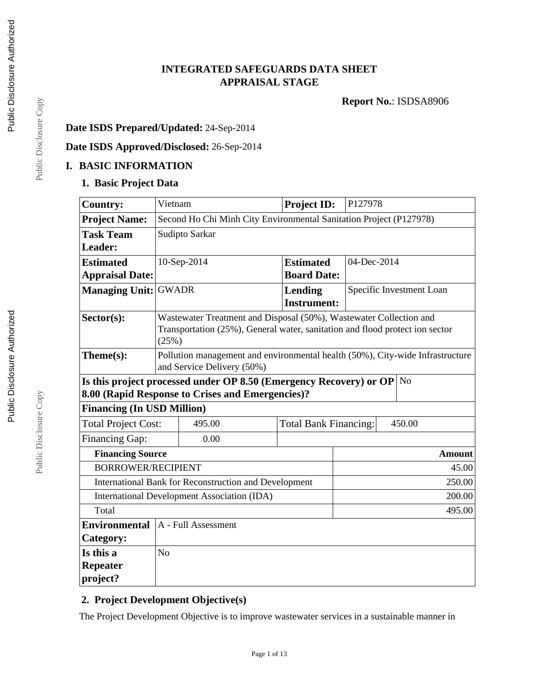# **INTEGRATED SAFEGUARDS DATA SHEET APPRAISAL STAGE**

**Report No.**: ISDSA8906

# **Date ISDS Prepared/Updated:** 24-Sep-2014

# **Date ISDS Approved/Disclosed:** 26-Sep-2014

### **I. BASIC INFORMATION**

#### **1. Basic Project Data**

| <b>Country:</b>                                                                                                                                                               | Vietnam                                                                                                                                                     |                     | Project ID:        | P127978                  |               |
|-------------------------------------------------------------------------------------------------------------------------------------------------------------------------------|-------------------------------------------------------------------------------------------------------------------------------------------------------------|---------------------|--------------------|--------------------------|---------------|
| <b>Project Name:</b>                                                                                                                                                          | Second Ho Chi Minh City Environmental Sanitation Project (P127978)                                                                                          |                     |                    |                          |               |
| <b>Task Team</b>                                                                                                                                                              | Sudipto Sarkar                                                                                                                                              |                     |                    |                          |               |
| Leader:                                                                                                                                                                       |                                                                                                                                                             |                     |                    |                          |               |
| <b>Estimated</b>                                                                                                                                                              |                                                                                                                                                             | 10-Sep-2014         | <b>Estimated</b>   | 04-Dec-2014              |               |
| <b>Appraisal Date:</b>                                                                                                                                                        |                                                                                                                                                             |                     | <b>Board Date:</b> |                          |               |
| <b>Managing Unit:</b>                                                                                                                                                         | <b>GWADR</b>                                                                                                                                                |                     | Lending            | Specific Investment Loan |               |
|                                                                                                                                                                               |                                                                                                                                                             |                     | <b>Instrument:</b> |                          |               |
| $Sector(s)$ :                                                                                                                                                                 | Wastewater Treatment and Disposal (50%), Wastewater Collection and<br>Transportation (25%), General water, sanitation and flood protect ion sector<br>(25%) |                     |                    |                          |               |
| Theme(s):                                                                                                                                                                     | Pollution management and environmental health (50%), City-wide Infrastructure<br>and Service Delivery (50%)                                                 |                     |                    |                          |               |
| Is this project processed under OP 8.50 (Emergency Recovery) or OP<br>N <sub>o</sub><br>8.00 (Rapid Response to Crises and Emergencies)?<br><b>Financing (In USD Million)</b> |                                                                                                                                                             |                     |                    |                          |               |
| <b>Total Project Cost:</b>                                                                                                                                                    | 495.00<br>450.00<br><b>Total Bank Financing:</b>                                                                                                            |                     |                    |                          |               |
| <b>Financing Gap:</b>                                                                                                                                                         |                                                                                                                                                             | 0.00                |                    |                          |               |
| <b>Financing Source</b>                                                                                                                                                       |                                                                                                                                                             |                     |                    |                          | <b>Amount</b> |
|                                                                                                                                                                               | <b>BORROWER/RECIPIENT</b>                                                                                                                                   |                     |                    |                          | 45.00         |
| International Bank for Reconstruction and Development                                                                                                                         |                                                                                                                                                             |                     |                    |                          | 250.00        |
| <b>International Development Association (IDA)</b><br>200.00                                                                                                                  |                                                                                                                                                             |                     |                    |                          |               |
| Total<br>495.00                                                                                                                                                               |                                                                                                                                                             |                     |                    |                          |               |
| <b>Environmental</b>                                                                                                                                                          |                                                                                                                                                             | A - Full Assessment |                    |                          |               |
| <b>Category:</b>                                                                                                                                                              |                                                                                                                                                             |                     |                    |                          |               |
| Is this a                                                                                                                                                                     | N <sub>o</sub>                                                                                                                                              |                     |                    |                          |               |
| <b>Repeater</b>                                                                                                                                                               |                                                                                                                                                             |                     |                    |                          |               |
| project?                                                                                                                                                                      |                                                                                                                                                             |                     |                    |                          |               |

### **2. Project Development Objective(s)**

The Project Development Objective is to improve wastewater services in a sustainable manner in

Page 1 of 13

Public Disclosure Copy Public Disclosure Copy

Public Disclosure Copy

Public Disclosure Copy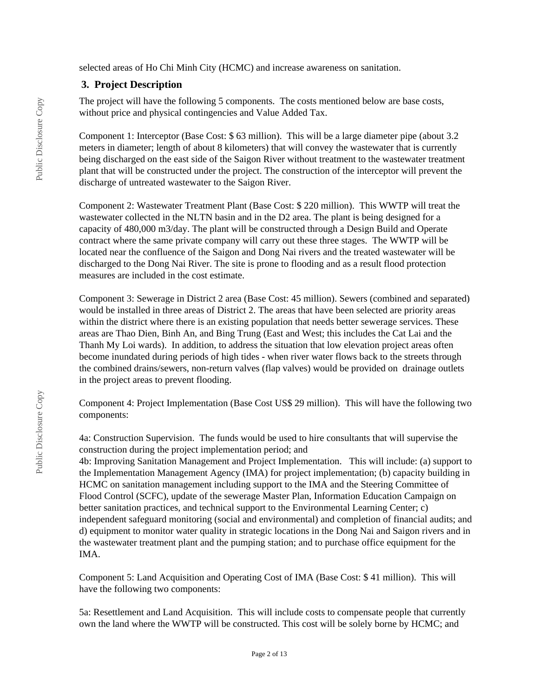selected areas of Ho Chi Minh City (HCMC) and increase awareness on sanitation.

### **3. Project Description**

The project will have the following 5 components. The costs mentioned below are base costs, without price and physical contingencies and Value Added Tax.

Component 1: Interceptor (Base Cost: \$ 63 million). This will be a large diameter pipe (about 3.2 meters in diameter; length of about 8 kilometers) that will convey the wastewater that is currently being discharged on the east side of the Saigon River without treatment to the wastewater treatment plant that will be constructed under the project. The construction of the interceptor will prevent the discharge of untreated wastewater to the Saigon River.

Component 2: Wastewater Treatment Plant (Base Cost: \$ 220 million). This WWTP will treat the wastewater collected in the NLTN basin and in the D2 area. The plant is being designed for a capacity of 480,000 m3/day. The plant will be constructed through a Design Build and Operate contract where the same private company will carry out these three stages. The WWTP will be located near the confluence of the Saigon and Dong Nai rivers and the treated wastewater will be discharged to the Dong Nai River. The site is prone to flooding and as a result flood protection measures are included in the cost estimate.

Component 3: Sewerage in District 2 area (Base Cost: 45 million). Sewers (combined and separated) would be installed in three areas of District 2. The areas that have been selected are priority areas within the district where there is an existing population that needs better sewerage services. These areas are Thao Dien, Binh An, and Bing Trung (East and West; this includes the Cat Lai and the Thanh My Loi wards). In addition, to address the situation that low elevation project areas often become inundated during periods of high tides - when river water flows back to the streets through the combined drains/sewers, non-return valves (flap valves) would be provided on drainage outlets in the project areas to prevent flooding.

Component 4: Project Implementation (Base Cost US\$ 29 million). This will have the following two components:

4a: Construction Supervision. The funds would be used to hire consultants that will supervise the construction during the project implementation period; and

4b: Improving Sanitation Management and Project Implementation. This will include: (a) support to the Implementation Management Agency (IMA) for project implementation; (b) capacity building in HCMC on sanitation management including support to the IMA and the Steering Committee of Flood Control (SCFC), update of the sewerage Master Plan, Information Education Campaign on better sanitation practices, and technical support to the Environmental Learning Center; c) independent safeguard monitoring (social and environmental) and completion of financial audits; and d) equipment to monitor water quality in strategic locations in the Dong Nai and Saigon rivers and in the wastewater treatment plant and the pumping station; and to purchase office equipment for the IMA.

Component 5: Land Acquisition and Operating Cost of IMA (Base Cost: \$ 41 million). This will have the following two components:

5a: Resettlement and Land Acquisition. This will include costs to compensate people that currently own the land where the WWTP will be constructed. This cost will be solely borne by HCMC; and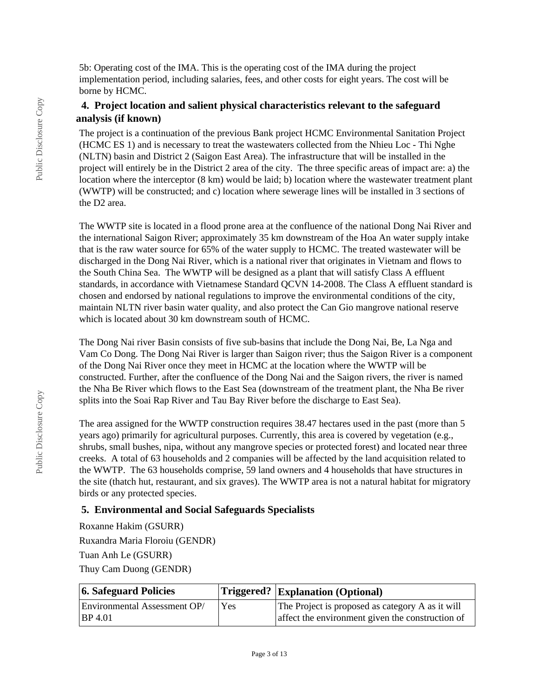5b: Operating cost of the IMA. This is the operating cost of the IMA during the project implementation period, including salaries, fees, and other costs for eight years. The cost will be borne by HCMC.

### **4. Project location and salient physical characteristics relevant to the safeguard analysis (if known)**

The project is a continuation of the previous Bank project HCMC Environmental Sanitation Project (HCMC ES 1) and is necessary to treat the wastewaters collected from the Nhieu Loc - Thi Nghe (NLTN) basin and District 2 (Saigon East Area). The infrastructure that will be installed in the project will entirely be in the District 2 area of the city. The three specific areas of impact are: a) the location where the interceptor (8 km) would be laid; b) location where the wastewater treatment plant (WWTP) will be constructed; and c) location where sewerage lines will be installed in 3 sections of the D2 area.

The WWTP site is located in a flood prone area at the confluence of the national Dong Nai River and the international Saigon River; approximately 35 km downstream of the Hoa An water supply intake that is the raw water source for 65% of the water supply to HCMC. The treated wastewater will be discharged in the Dong Nai River, which is a national river that originates in Vietnam and flows to the South China Sea. The WWTP will be designed as a plant that will satisfy Class A effluent standards, in accordance with Vietnamese Standard QCVN 14-2008. The Class A effluent standard is chosen and endorsed by national regulations to improve the environmental conditions of the city, maintain NLTN river basin water quality, and also protect the Can Gio mangrove national reserve which is located about 30 km downstream south of HCMC.

The Dong Nai river Basin consists of five sub-basins that include the Dong Nai, Be, La Nga and Vam Co Dong. The Dong Nai River is larger than Saigon river; thus the Saigon River is a component of the Dong Nai River once they meet in HCMC at the location where the WWTP will be constructed. Further, after the confluence of the Dong Nai and the Saigon rivers, the river is named the Nha Be River which flows to the East Sea (downstream of the treatment plant, the Nha Be river splits into the Soai Rap River and Tau Bay River before the discharge to East Sea).

The area assigned for the WWTP construction requires 38.47 hectares used in the past (more than 5 years ago) primarily for agricultural purposes. Currently, this area is covered by vegetation (e.g., shrubs, small bushes, nipa, without any mangrove species or protected forest) and located near three creeks. A total of 63 households and 2 companies will be affected by the land acquisition related to the WWTP. The 63 households comprise, 59 land owners and 4 households that have structures in the site (thatch hut, restaurant, and six graves). The WWTP area is not a natural habitat for migratory birds or any protected species.

### **5. Environmental and Social Safeguards Specialists**

Roxanne Hakim (GSURR) Ruxandra Maria Floroiu (GENDR) Tuan Anh Le (GSURR) Thuy Cam Duong (GENDR)

| 6. Safeguard Policies        |     | Triggered?  Explanation (Optional)               |
|------------------------------|-----|--------------------------------------------------|
| Environmental Assessment OP/ | Yes | The Project is proposed as category A as it will |
| BP 4.01                      |     | affect the environment given the construction of |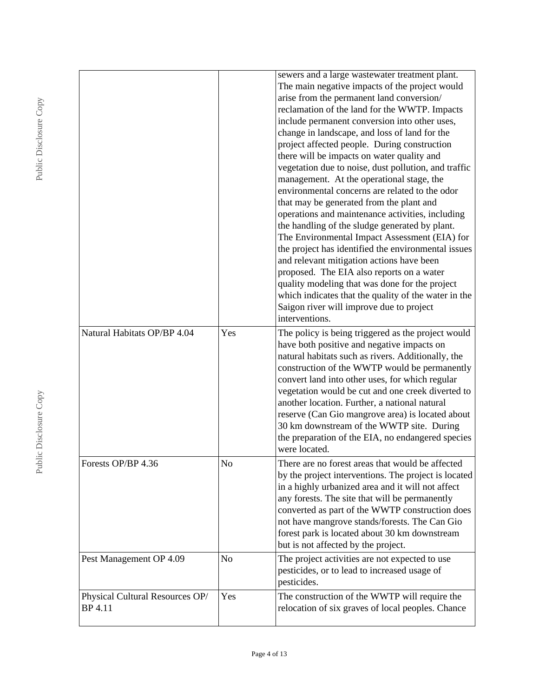|                                            |                | sewers and a large wastewater treatment plant.<br>The main negative impacts of the project would<br>arise from the permanent land conversion/<br>reclamation of the land for the WWTP. Impacts<br>include permanent conversion into other uses,<br>change in landscape, and loss of land for the<br>project affected people. During construction<br>there will be impacts on water quality and<br>vegetation due to noise, dust pollution, and traffic<br>management. At the operational stage, the<br>environmental concerns are related to the odor<br>that may be generated from the plant and<br>operations and maintenance activities, including<br>the handling of the sludge generated by plant.<br>The Environmental Impact Assessment (EIA) for<br>the project has identified the environmental issues<br>and relevant mitigation actions have been<br>proposed. The EIA also reports on a water<br>quality modeling that was done for the project<br>which indicates that the quality of the water in the<br>Saigon river will improve due to project<br>interventions. |
|--------------------------------------------|----------------|-----------------------------------------------------------------------------------------------------------------------------------------------------------------------------------------------------------------------------------------------------------------------------------------------------------------------------------------------------------------------------------------------------------------------------------------------------------------------------------------------------------------------------------------------------------------------------------------------------------------------------------------------------------------------------------------------------------------------------------------------------------------------------------------------------------------------------------------------------------------------------------------------------------------------------------------------------------------------------------------------------------------------------------------------------------------------------------|
| Natural Habitats OP/BP 4.04                | Yes            | The policy is being triggered as the project would<br>have both positive and negative impacts on<br>natural habitats such as rivers. Additionally, the<br>construction of the WWTP would be permanently<br>convert land into other uses, for which regular<br>vegetation would be cut and one creek diverted to<br>another location. Further, a national natural<br>reserve (Can Gio mangrove area) is located about<br>30 km downstream of the WWTP site. During<br>the preparation of the EIA, no endangered species<br>were located.                                                                                                                                                                                                                                                                                                                                                                                                                                                                                                                                           |
| Forests OP/BP 4.36                         | N <sub>o</sub> | There are no forest areas that would be affected<br>by the project interventions. The project is located<br>in a highly urbanized area and it will not affect<br>any forests. The site that will be permanently<br>converted as part of the WWTP construction does<br>not have mangrove stands/forests. The Can Gio<br>forest park is located about 30 km downstream<br>but is not affected by the project.                                                                                                                                                                                                                                                                                                                                                                                                                                                                                                                                                                                                                                                                       |
| Pest Management OP 4.09                    | N <sub>o</sub> | The project activities are not expected to use<br>pesticides, or to lead to increased usage of<br>pesticides.                                                                                                                                                                                                                                                                                                                                                                                                                                                                                                                                                                                                                                                                                                                                                                                                                                                                                                                                                                     |
| Physical Cultural Resources OP/<br>BP 4.11 | Yes            | The construction of the WWTP will require the<br>relocation of six graves of local peoples. Chance                                                                                                                                                                                                                                                                                                                                                                                                                                                                                                                                                                                                                                                                                                                                                                                                                                                                                                                                                                                |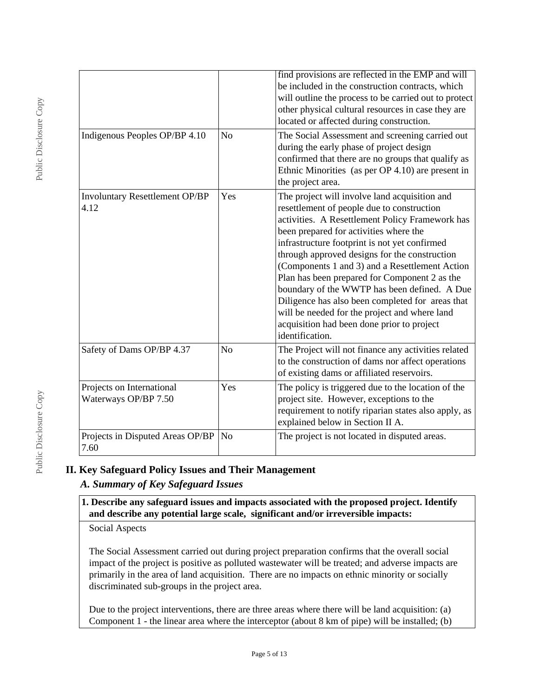|                                                   |                | find provisions are reflected in the EMP and will<br>be included in the construction contracts, which<br>will outline the process to be carried out to protect<br>other physical cultural resources in case they are<br>located or affected during construction.                                                                                                                                                                                                                                                                                                                                                    |
|---------------------------------------------------|----------------|---------------------------------------------------------------------------------------------------------------------------------------------------------------------------------------------------------------------------------------------------------------------------------------------------------------------------------------------------------------------------------------------------------------------------------------------------------------------------------------------------------------------------------------------------------------------------------------------------------------------|
| Indigenous Peoples OP/BP 4.10                     | N <sub>o</sub> | The Social Assessment and screening carried out<br>during the early phase of project design<br>confirmed that there are no groups that qualify as<br>Ethnic Minorities (as per OP 4.10) are present in<br>the project area.                                                                                                                                                                                                                                                                                                                                                                                         |
| <b>Involuntary Resettlement OP/BP</b><br>4.12     | Yes            | The project will involve land acquisition and<br>resettlement of people due to construction<br>activities. A Resettlement Policy Framework has<br>been prepared for activities where the<br>infrastructure footprint is not yet confirmed<br>through approved designs for the construction<br>(Components 1 and 3) and a Resettlement Action<br>Plan has been prepared for Component 2 as the<br>boundary of the WWTP has been defined. A Due<br>Diligence has also been completed for areas that<br>will be needed for the project and where land<br>acquisition had been done prior to project<br>identification. |
| Safety of Dams OP/BP 4.37                         | N <sub>o</sub> | The Project will not finance any activities related<br>to the construction of dams nor affect operations<br>of existing dams or affiliated reservoirs.                                                                                                                                                                                                                                                                                                                                                                                                                                                              |
| Projects on International<br>Waterways OP/BP 7.50 | Yes            | The policy is triggered due to the location of the<br>project site. However, exceptions to the<br>requirement to notify riparian states also apply, as<br>explained below in Section II A.                                                                                                                                                                                                                                                                                                                                                                                                                          |
| Projects in Disputed Areas OP/BP<br>7.60          | N <sub>0</sub> | The project is not located in disputed areas.                                                                                                                                                                                                                                                                                                                                                                                                                                                                                                                                                                       |

# **II. Key Safeguard Policy Issues and Their Management**

# *A. Summary of Key Safeguard Issues*

**1. Describe any safeguard issues and impacts associated with the proposed project. Identify and describe any potential large scale, significant and/or irreversible impacts:**

Social Aspects

The Social Assessment carried out during project preparation confirms that the overall social impact of the project is positive as polluted wastewater will be treated; and adverse impacts are primarily in the area of land acquisition. There are no impacts on ethnic minority or socially discriminated sub-groups in the project area.

Due to the project interventions, there are three areas where there will be land acquisition: (a) Component 1 - the linear area where the interceptor (about 8 km of pipe) will be installed; (b)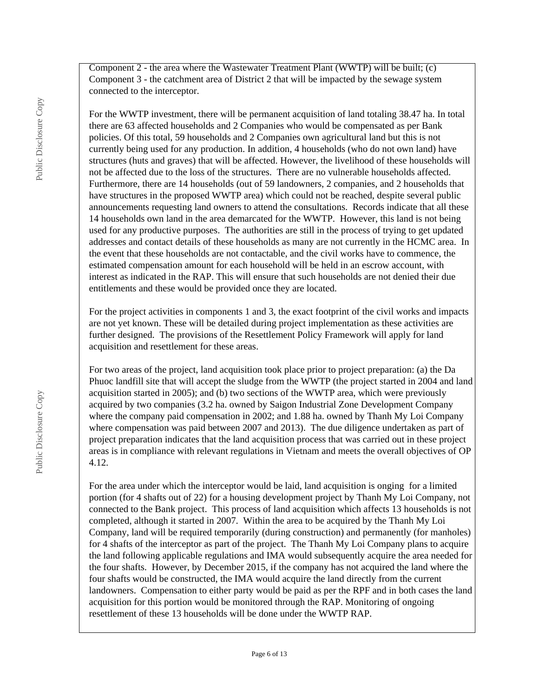Component 2 - the area where the Wastewater Treatment Plant (WWTP) will be built; (c) Component 3 - the catchment area of District 2 that will be impacted by the sewage system connected to the interceptor.

For the WWTP investment, there will be permanent acquisition of land totaling 38.47 ha. In total there are 63 affected households and 2 Companies who would be compensated as per Bank policies. Of this total, 59 households and 2 Companies own agricultural land but this is not currently being used for any production. In addition, 4 households (who do not own land) have structures (huts and graves) that will be affected. However, the livelihood of these households will not be affected due to the loss of the structures. There are no vulnerable households affected. Furthermore, there are 14 households (out of 59 landowners, 2 companies, and 2 households that have structures in the proposed WWTP area) which could not be reached, despite several public announcements requesting land owners to attend the consultations. Records indicate that all these 14 households own land in the area demarcated for the WWTP. However, this land is not being used for any productive purposes. The authorities are still in the process of trying to get updated addresses and contact details of these households as many are not currently in the HCMC area. In the event that these households are not contactable, and the civil works have to commence, the estimated compensation amount for each household will be held in an escrow account, with interest as indicated in the RAP. This will ensure that such households are not denied their due entitlements and these would be provided once they are located.

For the project activities in components 1 and 3, the exact footprint of the civil works and impacts are not yet known. These will be detailed during project implementation as these activities are further designed. The provisions of the Resettlement Policy Framework will apply for land acquisition and resettlement for these areas.

For two areas of the project, land acquisition took place prior to project preparation: (a) the Da Phuoc landfill site that will accept the sludge from the WWTP (the project started in 2004 and land acquisition started in 2005); and (b) two sections of the WWTP area, which were previously acquired by two companies (3.2 ha. owned by Saigon Industrial Zone Development Company where the company paid compensation in 2002; and 1.88 ha. owned by Thanh My Loi Company where compensation was paid between 2007 and 2013). The due diligence undertaken as part of project preparation indicates that the land acquisition process that was carried out in these project areas is in compliance with relevant regulations in Vietnam and meets the overall objectives of OP 4.12.

For the area under which the interceptor would be laid, land acquisition is onging for a limited portion (for 4 shafts out of 22) for a housing development project by Thanh My Loi Company, not connected to the Bank project. This process of land acquisition which affects 13 households is not completed, although it started in 2007. Within the area to be acquired by the Thanh My Loi Company, land will be required temporarily (during construction) and permanently (for manholes) for 4 shafts of the interceptor as part of the project. The Thanh My Loi Company plans to acquire the land following applicable regulations and IMA would subsequently acquire the area needed for the four shafts. However, by December 2015, if the company has not acquired the land where the four shafts would be constructed, the IMA would acquire the land directly from the current landowners. Compensation to either party would be paid as per the RPF and in both cases the land acquisition for this portion would be monitored through the RAP. Monitoring of ongoing resettlement of these 13 households will be done under the WWTP RAP.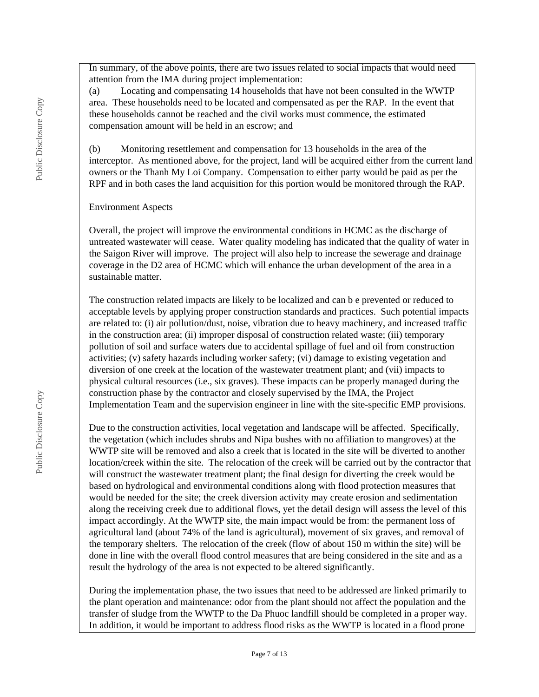In summary, of the above points, there are two issues related to social impacts that would need attention from the IMA during project implementation:

(a) Locating and compensating 14 households that have not been consulted in the WWTP area. These households need to be located and compensated as per the RAP. In the event that these households cannot be reached and the civil works must commence, the estimated compensation amount will be held in an escrow; and

(b) Monitoring resettlement and compensation for 13 households in the area of the interceptor. As mentioned above, for the project, land will be acquired either from the current land owners or the Thanh My Loi Company. Compensation to either party would be paid as per the RPF and in both cases the land acquisition for this portion would be monitored through the RAP.

#### Environment Aspects

Overall, the project will improve the environmental conditions in HCMC as the discharge of untreated wastewater will cease. Water quality modeling has indicated that the quality of water in the Saigon River will improve. The project will also help to increase the sewerage and drainage coverage in the D2 area of HCMC which will enhance the urban development of the area in a sustainable matter.

The construction related impacts are likely to be localized and can b e prevented or reduced to acceptable levels by applying proper construction standards and practices. Such potential impacts are related to: (i) air pollution/dust, noise, vibration due to heavy machinery, and increased traffic in the construction area; (ii) improper disposal of construction related waste; (iii) temporary pollution of soil and surface waters due to accidental spillage of fuel and oil from construction activities; (v) safety hazards including worker safety; (vi) damage to existing vegetation and diversion of one creek at the location of the wastewater treatment plant; and (vii) impacts to physical cultural resources (i.e., six graves). These impacts can be properly managed during the construction phase by the contractor and closely supervised by the IMA, the Project Implementation Team and the supervision engineer in line with the site-specific EMP provisions.

Due to the construction activities, local vegetation and landscape will be affected. Specifically, the vegetation (which includes shrubs and Nipa bushes with no affiliation to mangroves) at the WWTP site will be removed and also a creek that is located in the site will be diverted to another location/creek within the site. The relocation of the creek will be carried out by the contractor that will construct the wastewater treatment plant; the final design for diverting the creek would be based on hydrological and environmental conditions along with flood protection measures that would be needed for the site; the creek diversion activity may create erosion and sedimentation along the receiving creek due to additional flows, yet the detail design will assess the level of this impact accordingly. At the WWTP site, the main impact would be from: the permanent loss of agricultural land (about 74% of the land is agricultural), movement of six graves, and removal of the temporary shelters. The relocation of the creek (flow of about 150 m within the site) will be done in line with the overall flood control measures that are being considered in the site and as a result the hydrology of the area is not expected to be altered significantly.

During the implementation phase, the two issues that need to be addressed are linked primarily to the plant operation and maintenance: odor from the plant should not affect the population and the transfer of sludge from the WWTP to the Da Phuoc landfill should be completed in a proper way. In addition, it would be important to address flood risks as the WWTP is located in a flood prone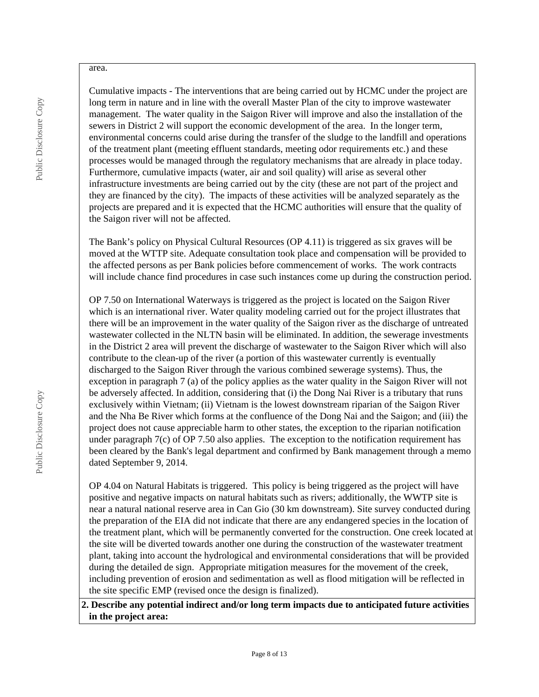#### area.

Cumulative impacts - The interventions that are being carried out by HCMC under the project are long term in nature and in line with the overall Master Plan of the city to improve wastewater management. The water quality in the Saigon River will improve and also the installation of the sewers in District 2 will support the economic development of the area. In the longer term, environmental concerns could arise during the transfer of the sludge to the landfill and operations of the treatment plant (meeting effluent standards, meeting odor requirements etc.) and these processes would be managed through the regulatory mechanisms that are already in place today. Furthermore, cumulative impacts (water, air and soil quality) will arise as several other infrastructure investments are being carried out by the city (these are not part of the project and they are financed by the city). The impacts of these activities will be analyzed separately as the projects are prepared and it is expected that the HCMC authorities will ensure that the quality of the Saigon river will not be affected.

The Bank's policy on Physical Cultural Resources (OP 4.11) is triggered as six graves will be moved at the WTTP site. Adequate consultation took place and compensation will be provided to the affected persons as per Bank policies before commencement of works. The work contracts will include chance find procedures in case such instances come up during the construction period.

OP 7.50 on International Waterways is triggered as the project is located on the Saigon River which is an international river. Water quality modeling carried out for the project illustrates that there will be an improvement in the water quality of the Saigon river as the discharge of untreated wastewater collected in the NLTN basin will be eliminated. In addition, the sewerage investments in the District 2 area will prevent the discharge of wastewater to the Saigon River which will also contribute to the clean-up of the river (a portion of this wastewater currently is eventually discharged to the Saigon River through the various combined sewerage systems). Thus, the exception in paragraph 7 (a) of the policy applies as the water quality in the Saigon River will not be adversely affected. In addition, considering that (i) the Dong Nai River is a tributary that runs exclusively within Vietnam; (ii) Vietnam is the lowest downstream riparian of the Saigon River and the Nha Be River which forms at the confluence of the Dong Nai and the Saigon; and (iii) the project does not cause appreciable harm to other states, the exception to the riparian notification under paragraph 7(c) of OP 7.50 also applies. The exception to the notification requirement has been cleared by the Bank's legal department and confirmed by Bank management through a memo dated September 9, 2014.

OP 4.04 on Natural Habitats is triggered. This policy is being triggered as the project will have positive and negative impacts on natural habitats such as rivers; additionally, the WWTP site is near a natural national reserve area in Can Gio (30 km downstream). Site survey conducted during the preparation of the EIA did not indicate that there are any endangered species in the location of the treatment plant, which will be permanently converted for the construction. One creek located at the site will be diverted towards another one during the construction of the wastewater treatment plant, taking into account the hydrological and environmental considerations that will be provided during the detailed de sign. Appropriate mitigation measures for the movement of the creek, including prevention of erosion and sedimentation as well as flood mitigation will be reflected in the site specific EMP (revised once the design is finalized).

**2. Describe any potential indirect and/or long term impacts due to anticipated future activities in the project area:**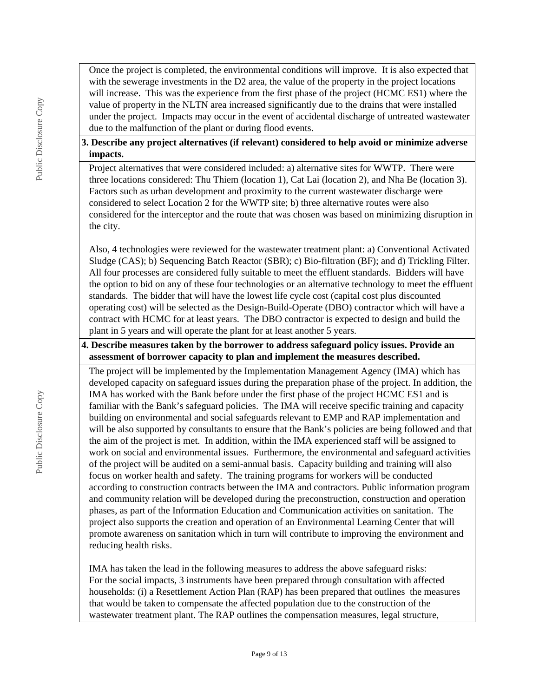Once the project is completed, the environmental conditions will improve. It is also expected that with the sewerage investments in the D2 area, the value of the property in the project locations will increase. This was the experience from the first phase of the project (HCMC ES1) where the value of property in the NLTN area increased significantly due to the drains that were installed under the project. Impacts may occur in the event of accidental discharge of untreated wastewater due to the malfunction of the plant or during flood events.

### **3. Describe any project alternatives (if relevant) considered to help avoid or minimize adverse impacts.**

Project alternatives that were considered included: a) alternative sites for WWTP. There were three locations considered: Thu Thiem (location 1), Cat Lai (location 2), and Nha Be (location 3). Factors such as urban development and proximity to the current wastewater discharge were considered to select Location 2 for the WWTP site; b) three alternative routes were also considered for the interceptor and the route that was chosen was based on minimizing disruption in the city.

Also, 4 technologies were reviewed for the wastewater treatment plant: a) Conventional Activated Sludge (CAS); b) Sequencing Batch Reactor (SBR); c) Bio-filtration (BF); and d) Trickling Filter. All four processes are considered fully suitable to meet the effluent standards. Bidders will have the option to bid on any of these four technologies or an alternative technology to meet the effluent standards. The bidder that will have the lowest life cycle cost (capital cost plus discounted operating cost) will be selected as the Design-Build-Operate (DBO) contractor which will have a contract with HCMC for at least years. The DBO contractor is expected to design and build the plant in 5 years and will operate the plant for at least another 5 years.

#### **4. Describe measures taken by the borrower to address safeguard policy issues. Provide an assessment of borrower capacity to plan and implement the measures described.**

The project will be implemented by the Implementation Management Agency (IMA) which has developed capacity on safeguard issues during the preparation phase of the project. In addition, the IMA has worked with the Bank before under the first phase of the project HCMC ES1 and is familiar with the Bank's safeguard policies. The IMA will receive specific training and capacity building on environmental and social safeguards relevant to EMP and RAP implementation and will be also supported by consultants to ensure that the Bank's policies are being followed and that the aim of the project is met. In addition, within the IMA experienced staff will be assigned to work on social and environmental issues. Furthermore, the environmental and safeguard activities of the project will be audited on a semi-annual basis. Capacity building and training will also focus on worker health and safety. The training programs for workers will be conducted according to construction contracts between the IMA and contractors. Public information program and community relation will be developed during the preconstruction, construction and operation phases, as part of the Information Education and Communication activities on sanitation. The project also supports the creation and operation of an Environmental Learning Center that will promote awareness on sanitation which in turn will contribute to improving the environment and reducing health risks.

IMA has taken the lead in the following measures to address the above safeguard risks: For the social impacts, 3 instruments have been prepared through consultation with affected households: (i) a Resettlement Action Plan (RAP) has been prepared that outlines the measures that would be taken to compensate the affected population due to the construction of the wastewater treatment plant. The RAP outlines the compensation measures, legal structure,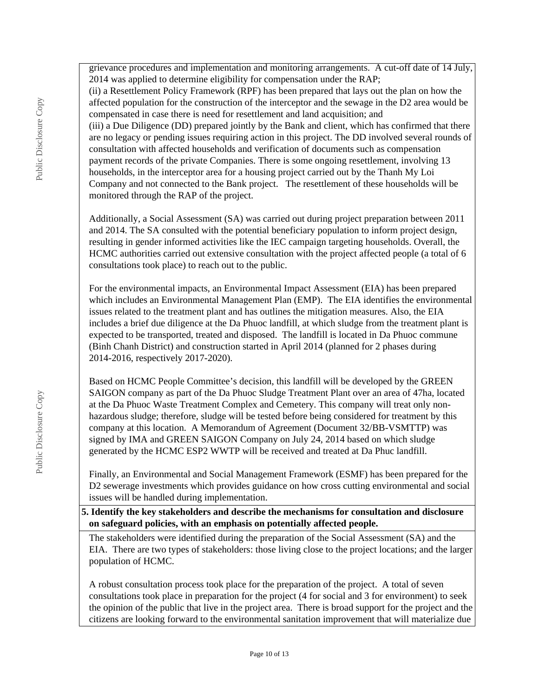grievance procedures and implementation and monitoring arrangements. A cut-off date of 14 July, 2014 was applied to determine eligibility for compensation under the RAP; (ii) a Resettlement Policy Framework (RPF) has been prepared that lays out the plan on how the affected population for the construction of the interceptor and the sewage in the D2 area would be compensated in case there is need for resettlement and land acquisition; and (iii) a Due Diligence (DD) prepared jointly by the Bank and client, which has confirmed that there are no legacy or pending issues requiring action in this project. The DD involved several rounds of consultation with affected households and verification of documents such as compensation payment records of the private Companies. There is some ongoing resettlement, involving 13 households, in the interceptor area for a housing project carried out by the Thanh My Loi Company and not connected to the Bank project. The resettlement of these households will be monitored through the RAP of the project.

Additionally, a Social Assessment (SA) was carried out during project preparation between 2011 and 2014. The SA consulted with the potential beneficiary population to inform project design, resulting in gender informed activities like the IEC campaign targeting households. Overall, the HCMC authorities carried out extensive consultation with the project affected people (a total of 6 consultations took place) to reach out to the public.

For the environmental impacts, an Environmental Impact Assessment (EIA) has been prepared which includes an Environmental Management Plan (EMP). The EIA identifies the environmental issues related to the treatment plant and has outlines the mitigation measures. Also, the EIA includes a brief due diligence at the Da Phuoc landfill, at which sludge from the treatment plant is expected to be transported, treated and disposed. The landfill is located in Da Phuoc commune (Binh Chanh District) and construction started in April 2014 (planned for 2 phases during 2014-2016, respectively 2017-2020).

Based on HCMC People Committee's decision, this landfill will be developed by the GREEN SAIGON company as part of the Da Phuoc Sludge Treatment Plant over an area of 47ha, located at the Da Phuoc Waste Treatment Complex and Cemetery. This company will treat only nonhazardous sludge; therefore, sludge will be tested before being considered for treatment by this company at this location. A Memorandum of Agreement (Document 32/BB-VSMTTP) was signed by IMA and GREEN SAIGON Company on July 24, 2014 based on which sludge generated by the HCMC ESP2 WWTP will be received and treated at Da Phuc landfill.

Finally, an Environmental and Social Management Framework (ESMF) has been prepared for the D2 sewerage investments which provides guidance on how cross cutting environmental and social issues will be handled during implementation.

**5. Identify the key stakeholders and describe the mechanisms for consultation and disclosure on safeguard policies, with an emphasis on potentially affected people.**

The stakeholders were identified during the preparation of the Social Assessment (SA) and the EIA. There are two types of stakeholders: those living close to the project locations; and the larger population of HCMC.

A robust consultation process took place for the preparation of the project. A total of seven consultations took place in preparation for the project (4 for social and 3 for environment) to seek the opinion of the public that live in the project area. There is broad support for the project and the citizens are looking forward to the environmental sanitation improvement that will materialize due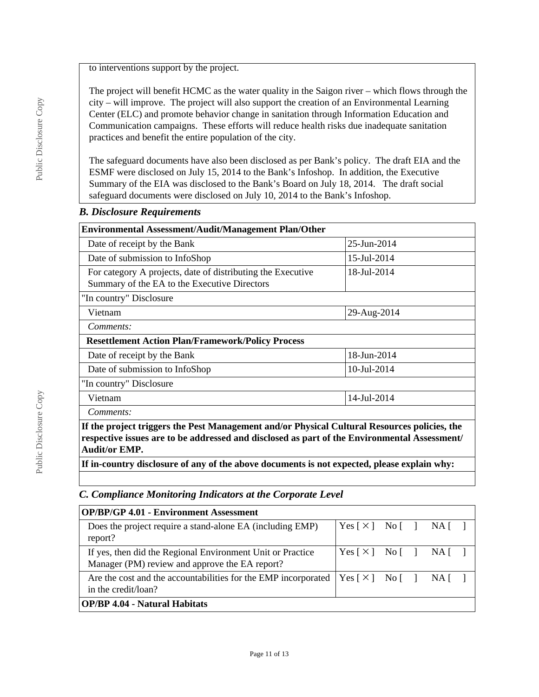to interventions support by the project.

The project will benefit HCMC as the water quality in the Saigon river – which flows through the city – will improve. The project will also support the creation of an Environmental Learning Center (ELC) and promote behavior change in sanitation through Information Education and Communication campaigns. These efforts will reduce health risks due inadequate sanitation practices and benefit the entire population of the city.

The safeguard documents have also been disclosed as per Bank's policy. The draft EIA and the ESMF were disclosed on July 15, 2014 to the Bank's Infoshop. In addition, the Executive Summary of the EIA was disclosed to the Bank's Board on July 18, 2014. The draft social safeguard documents were disclosed on July 10, 2014 to the Bank's Infoshop.

### *B. Disclosure Requirements*

| Environmental Assessment/Audit/Management Plan/Other                                                                                                                                                                 |             |  |  |  |
|----------------------------------------------------------------------------------------------------------------------------------------------------------------------------------------------------------------------|-------------|--|--|--|
| Date of receipt by the Bank                                                                                                                                                                                          | 25-Jun-2014 |  |  |  |
| Date of submission to InfoShop                                                                                                                                                                                       | 15-Jul-2014 |  |  |  |
| For category A projects, date of distributing the Executive<br>Summary of the EA to the Executive Directors                                                                                                          | 18-Jul-2014 |  |  |  |
| "In country" Disclosure                                                                                                                                                                                              |             |  |  |  |
| 29-Aug-2014<br>Vietnam                                                                                                                                                                                               |             |  |  |  |
| Comments:                                                                                                                                                                                                            |             |  |  |  |
| <b>Resettlement Action Plan/Framework/Policy Process</b>                                                                                                                                                             |             |  |  |  |
| Date of receipt by the Bank                                                                                                                                                                                          | 18-Jun-2014 |  |  |  |
| 10-Jul-2014<br>Date of submission to InfoShop                                                                                                                                                                        |             |  |  |  |
| "In country" Disclosure                                                                                                                                                                                              |             |  |  |  |
| Vietnam                                                                                                                                                                                                              | 14-Jul-2014 |  |  |  |
| Comments:                                                                                                                                                                                                            |             |  |  |  |
| If the project triggers the Pest Management and/or Physical Cultural Resources policies, the<br>respective issues are to be addressed and disclosed as part of the Environmental Assessment/<br><b>Audit/or EMP.</b> |             |  |  |  |
| If in-country disclosure of any of the above documents is not expected, please explain why:                                                                                                                          |             |  |  |  |

### *C. Compliance Monitoring Indicators at the Corporate Level*

| <b>OP/BP/GP 4.01 - Environment Assessment</b>                                                                |                                                                              |  |  |  |  |  |
|--------------------------------------------------------------------------------------------------------------|------------------------------------------------------------------------------|--|--|--|--|--|
| Does the project require a stand-alone EA (including EMP)<br>report?                                         | Yes $\lceil \times \rceil$ No $\lceil \cdot \rceil$ NA $\lceil \cdot \rceil$ |  |  |  |  |  |
| If yes, then did the Regional Environment Unit or Practice<br>Manager (PM) review and approve the EA report? | Yes [×] No [ ] NA [ ]                                                        |  |  |  |  |  |
| Are the cost and the accountabilities for the EMP incorporated<br>in the credit/loan?                        | Yes $[\times]$ No $[\ ]$ NA $[\ ]$                                           |  |  |  |  |  |
| <b>OP/BP 4.04 - Natural Habitats</b>                                                                         |                                                                              |  |  |  |  |  |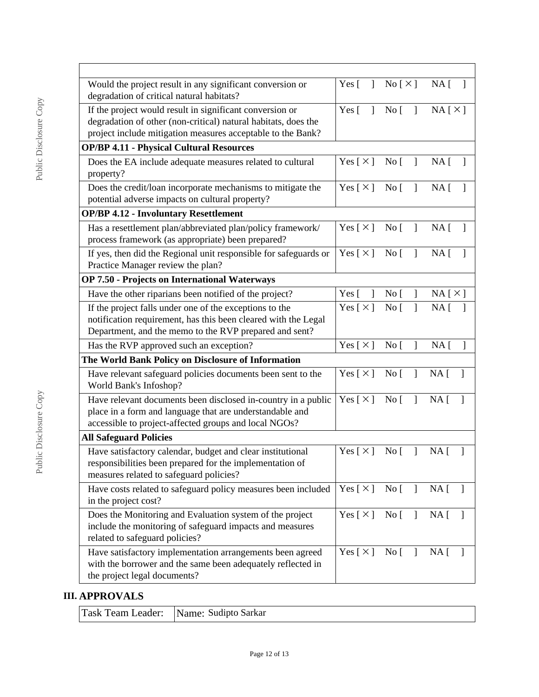| Would the project result in any significant conversion or<br>degradation of critical natural habitats?                                                                                    |                                          | Yes $[ ]$ No $[ \times ]$ NA $[ ]$              |                                 |
|-------------------------------------------------------------------------------------------------------------------------------------------------------------------------------------------|------------------------------------------|-------------------------------------------------|---------------------------------|
| If the project would result in significant conversion or<br>degradation of other (non-critical) natural habitats, does the<br>project include mitigation measures acceptable to the Bank? | Yes $\lceil$<br>$\mathbf{1}$             | No [                                            | NA[X]                           |
| <b>OP/BP 4.11 - Physical Cultural Resources</b>                                                                                                                                           |                                          |                                                 |                                 |
| Does the EA include adequate measures related to cultural<br>property?                                                                                                                    | Yes [ $\times$ ]                         | No <sub>1</sub><br>-1                           | NA [                            |
| Does the credit/loan incorporate mechanisms to mitigate the<br>potential adverse impacts on cultural property?                                                                            | Yes $[\times]$                           | $\mathbf{I}$<br>$\overline{N}$ o $\overline{[}$ | NA <sub>[</sub> ]               |
| <b>OP/BP 4.12 - Involuntary Resettlement</b>                                                                                                                                              |                                          |                                                 |                                 |
| Has a resettlement plan/abbreviated plan/policy framework/<br>process framework (as appropriate) been prepared?                                                                           | Yes $\lceil \times \rceil$               | $\overline{N}$ o<br>$\overline{1}$              | NA <sub>1</sub>                 |
| If yes, then did the Regional unit responsible for safeguards or<br>Practice Manager review the plan?                                                                                     | Yes $\lceil \times \rceil$ No $\lceil$ 1 |                                                 | NA <sub>1</sub>                 |
| OP 7.50 - Projects on International Waterways                                                                                                                                             |                                          |                                                 |                                 |
| Have the other riparians been notified of the project?                                                                                                                                    | Yes $\lceil$<br>1                        | No <sub>[</sub> ]<br>$\mathbf{I}$               | NA[X]                           |
| If the project falls under one of the exceptions to the<br>notification requirement, has this been cleared with the Legal<br>Department, and the memo to the RVP prepared and sent?       | Yes $\lceil \times \rceil$               | $\mathbf{I}$<br>$\overline{N}$ o                | NA <sub>1</sub>                 |
| Has the RVP approved such an exception?                                                                                                                                                   | Yes [ $\times$ ]                         | $\overline{N}$ o<br>$\mathbf{I}$                | NA <sub>1</sub><br>$\mathbf{I}$ |
| The World Bank Policy on Disclosure of Information                                                                                                                                        |                                          |                                                 |                                 |
| Have relevant safeguard policies documents been sent to the<br>World Bank's Infoshop?                                                                                                     | Yes $[\times]$                           | $\overline{1}$<br>$\overline{N}$ o              | NA <sub>1</sub><br>$\Box$       |
| Have relevant documents been disclosed in-country in a public<br>place in a form and language that are understandable and<br>accessible to project-affected groups and local NGOs?        | Yes $\lceil \times \rceil$               | $\overline{N}$ o<br>$\mathbf{I}$                | NA <sub>1</sub>                 |
| <b>All Safeguard Policies</b>                                                                                                                                                             |                                          |                                                 |                                 |
| Have satisfactory calendar, budget and clear institutional<br>responsibilities been prepared for the implementation of<br>measures related to safeguard policies?                         | Yes $\lceil \times \rceil$               | $\overline{N}$ o<br>$\mathbf{I}$                | $NA \mid$<br>1                  |
| Have costs related to safeguard policy measures been included<br>in the project cost?                                                                                                     | Yes [ $\times$ ]                         | No <sub>[</sub> ]<br>$\mathbf{I}$               | NA [<br>$\mathbf{I}$            |
| Does the Monitoring and Evaluation system of the project<br>include the monitoring of safeguard impacts and measures<br>related to safeguard policies?                                    | Yes [ $\times$ ]                         | $\overline{N}$ o $\overline{[}$<br>$\mathbf{I}$ | NA [<br>$\mathbf{I}$            |
| Have satisfactory implementation arrangements been agreed<br>with the borrower and the same been adequately reflected in<br>the project legal documents?                                  | Yes [ $\times$ ]                         | No <sub>[</sub> ]<br>$\mathbf{I}$               | NA [                            |

# **III. APPROVALS**

|  | Task Team Leader: Name: Sudipto Sarkar |
|--|----------------------------------------|
|--|----------------------------------------|